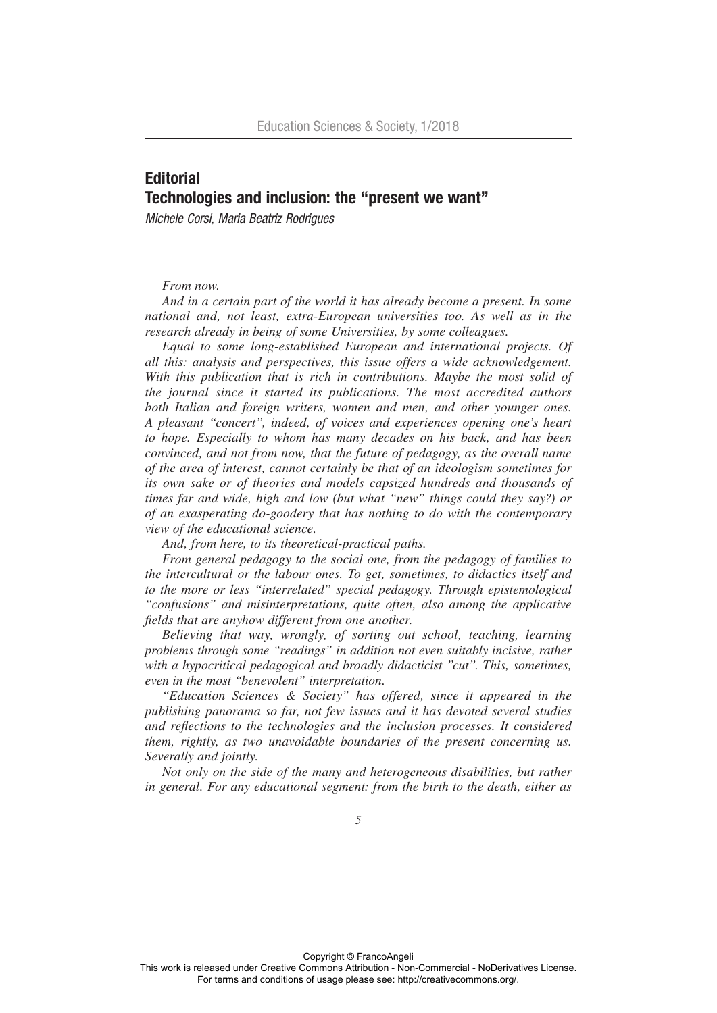## **Editorial** Technologies and inclusion: the "present we want"

*Michele Corsi, Maria Beatriz Rodrigues*

## *From now.*

*And in a certain part of the world it has already become a present. In some national and, not least, extra-European universities too. As well as in the research already in being of some Universities, by some colleagues.* 

*Equal to some long-established European and international projects. Of all this: analysis and perspectives, this issue offers a wide acknowledgement. With this publication that is rich in contributions. Maybe the most solid of the journal since it started its publications. The most accredited authors both Italian and foreign writers, women and men, and other younger ones. A pleasant "concert", indeed, of voices and experiences opening one's heart to hope. Especially to whom has many decades on his back, and has been convinced, and not from now, that the future of pedagogy, as the overall name of the area of interest, cannot certainly be that of an ideologism sometimes for its own sake or of theories and models capsized hundreds and thousands of times far and wide, high and low (but what "new" things could they say?) or of an exasperating do-goodery that has nothing to do with the contemporary view of the educational science.*

*And, from here, to its theoretical-practical paths.*

*From general pedagogy to the social one, from the pedagogy of families to the intercultural or the labour ones. To get, sometimes, to didactics itself and to the more or less "interrelated" special pedagogy. Through epistemological "confusions" and misinterpretations, quite often, also among the applicative fields that are anyhow different from one another.*

*Believing that way, wrongly, of sorting out school, teaching, learning problems through some "readings" in addition not even suitably incisive, rather with a hypocritical pedagogical and broadly didacticist "cut". This, sometimes, even in the most "benevolent" interpretation.* 

*"Education Sciences & Society" has offered, since it appeared in the publishing panorama so far, not few issues and it has devoted several studies and reflections to the technologies and the inclusion processes. It considered them, rightly, as two unavoidable boundaries of the present concerning us. Severally and jointly.*

*Not only on the side of the many and heterogeneous disabilities, but rather in general. For any educational segment: from the birth to the death, either as*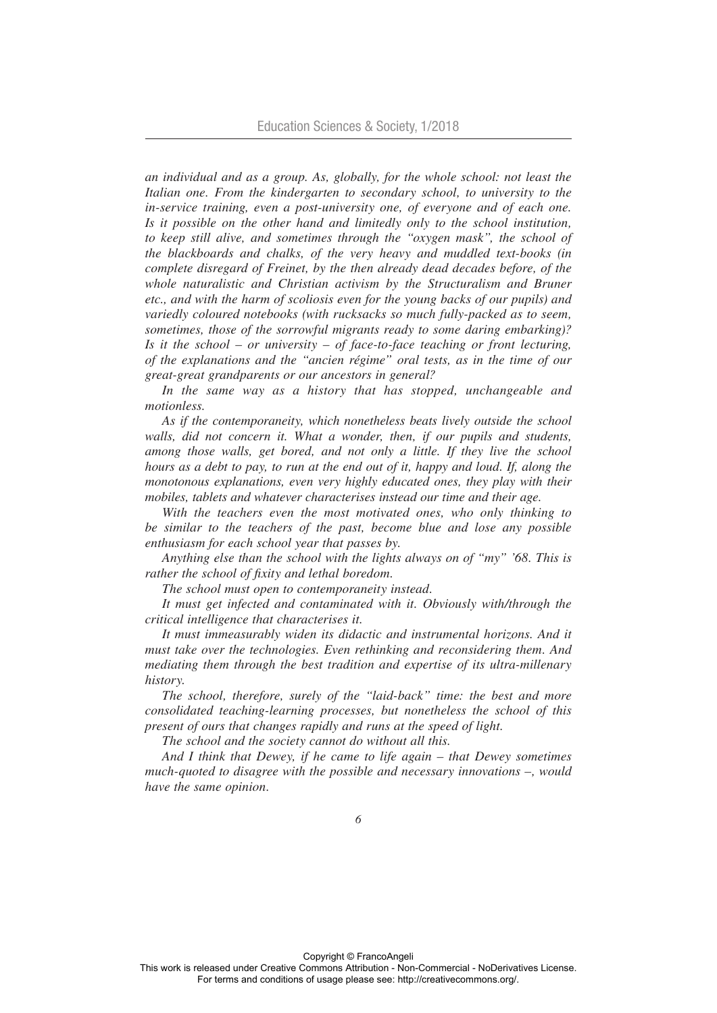*an individual and as a group. As, globally, for the whole school: not least the Italian one. From the kindergarten to secondary school, to university to the in-service training, even a post-university one, of everyone and of each one. Is it possible on the other hand and limitedly only to the school institution, to keep still alive, and sometimes through the "oxygen mask", the school of the blackboards and chalks, of the very heavy and muddled text-books (in complete disregard of Freinet, by the then already dead decades before, of the whole naturalistic and Christian activism by the Structuralism and Bruner etc., and with the harm of scoliosis even for the young backs of our pupils) and variedly coloured notebooks (with rucksacks so much fully-packed as to seem, sometimes, those of the sorrowful migrants ready to some daring embarking)? Is it the school – or university – of face-to-face teaching or front lecturing, of the explanations and the "ancien régime" oral tests, as in the time of our great-great grandparents or our ancestors in general?*

In the same way as a history that has stopped, unchangeable and *motionless.*

*As if the contemporaneity, which nonetheless beats lively outside the school walls, did not concern it. What a wonder, then, if our pupils and students, among those walls, get bored, and not only a little. If they live the school hours as a debt to pay, to run at the end out of it, happy and loud. If, along the monotonous explanations, even very highly educated ones, they play with their mobiles, tablets and whatever characterises instead our time and their age.*

*With the teachers even the most motivated ones, who only thinking to be similar to the teachers of the past, become blue and lose any possible enthusiasm for each school year that passes by.*

*Anything else than the school with the lights always on of "my" '68. This is rather the school of fixity and lethal boredom.* 

*The school must open to contemporaneity instead.*

*It must get infected and contaminated with it. Obviously with/through the critical intelligence that characterises it.* 

*It must immeasurably widen its didactic and instrumental horizons. And it must take over the technologies. Even rethinking and reconsidering them. And mediating them through the best tradition and expertise of its ultra-millenary history.*

*The school, therefore, surely of the "laid-back" time: the best and more consolidated teaching-learning processes, but nonetheless the school of this present of ours that changes rapidly and runs at the speed of light.* 

*The school and the society cannot do without all this.*

*And I think that Dewey, if he came to life again – that Dewey sometimes much-quoted to disagree with the possible and necessary innovations –, would have the same opinion.*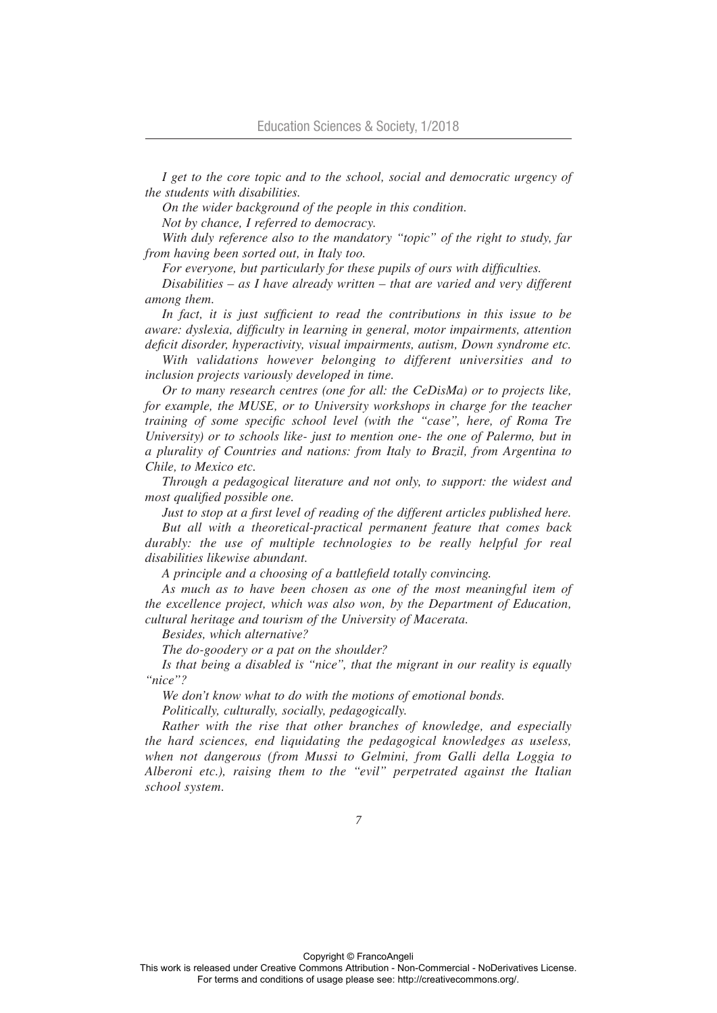*I get to the core topic and to the school, social and democratic urgency of the students with disabilities.* 

*On the wider background of the people in this condition.*

*Not by chance, I referred to democracy.*

*With duly reference also to the mandatory "topic" of the right to study, far from having been sorted out, in Italy too.*

*For everyone, but particularly for these pupils of ours with difficulties.*

*Disabilities – as I have already written – that are varied and very different among them.* 

*In fact, it is just sufficient to read the contributions in this issue to be aware: dyslexia, difficulty in learning in general, motor impairments, attention deficit disorder, hyperactivity, visual impairments, autism, Down syndrome etc.*

*With validations however belonging to different universities and to inclusion projects variously developed in time.*

*Or to many research centres (one for all: the CeDisMa) or to projects like, for example, the MUSE, or to University workshops in charge for the teacher training of some specific school level (with the "case", here, of Roma Tre University) or to schools like- just to mention one- the one of Palermo, but in a plurality of Countries and nations: from Italy to Brazil, from Argentina to Chile, to Mexico etc.* 

*Through a pedagogical literature and not only, to support: the widest and most qualified possible one.*

*Just to stop at a first level of reading of the different articles published here. But all with a theoretical-practical permanent feature that comes back durably: the use of multiple technologies to be really helpful for real* 

*disabilities likewise abundant. A principle and a choosing of a battlefield totally convincing.*

*As much as to have been chosen as one of the most meaningful item of the excellence project, which was also won, by the Department of Education, cultural heritage and tourism of the University of Macerata.* 

*Besides, which alternative?*

*The do-goodery or a pat on the shoulder?*

*Is that being a disabled is "nice", that the migrant in our reality is equally "nice"?*

*We don't know what to do with the motions of emotional bonds.*

*Politically, culturally, socially, pedagogically.*

*Rather with the rise that other branches of knowledge, and especially the hard sciences, end liquidating the pedagogical knowledges as useless, when not dangerous (from Mussi to Gelmini, from Galli della Loggia to Alberoni etc.), raising them to the "evil" perpetrated against the Italian school system.*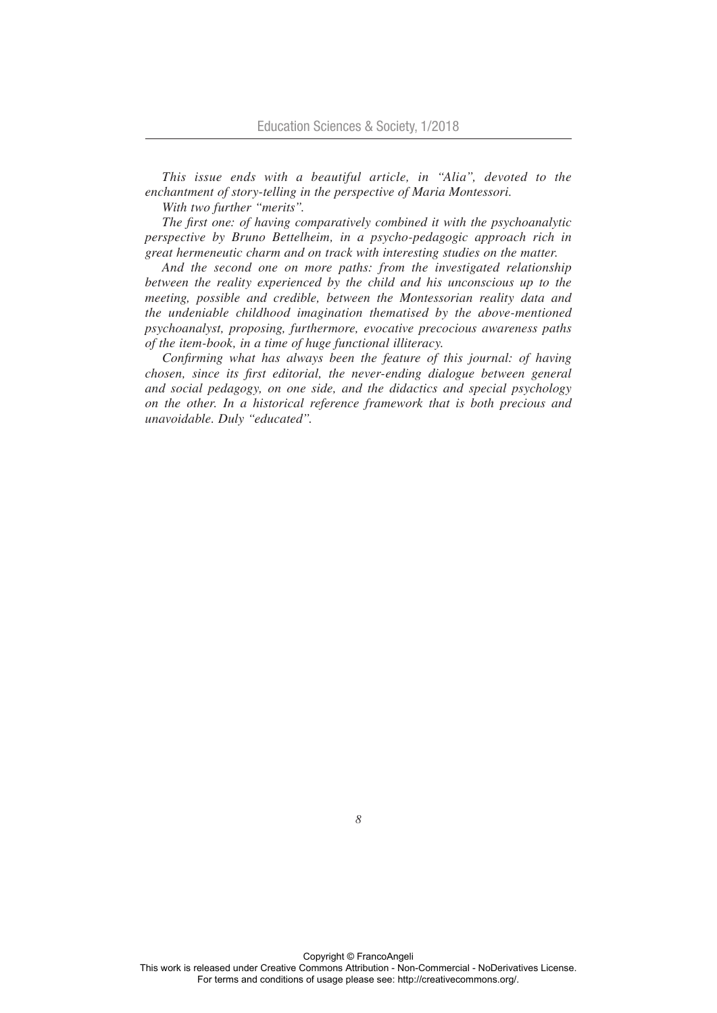*This issue ends with a beautiful article, in "Alia", devoted to the enchantment of story-telling in the perspective of Maria Montessori.*

*With two further "merits".*

*The first one: of having comparatively combined it with the psychoanalytic perspective by Bruno Bettelheim, in a psycho-pedagogic approach rich in great hermeneutic charm and on track with interesting studies on the matter.*

*And the second one on more paths: from the investigated relationship between the reality experienced by the child and his unconscious up to the meeting, possible and credible, between the Montessorian reality data and the undeniable childhood imagination thematised by the above-mentioned psychoanalyst, proposing, furthermore, evocative precocious awareness paths of the item-book, in a time of huge functional illiteracy.*

*Confirming what has always been the feature of this journal: of having chosen, since its first editorial, the never-ending dialogue between general and social pedagogy, on one side, and the didactics and special psychology on the other. In a historical reference framework that is both precious and unavoidable. Duly "educated".*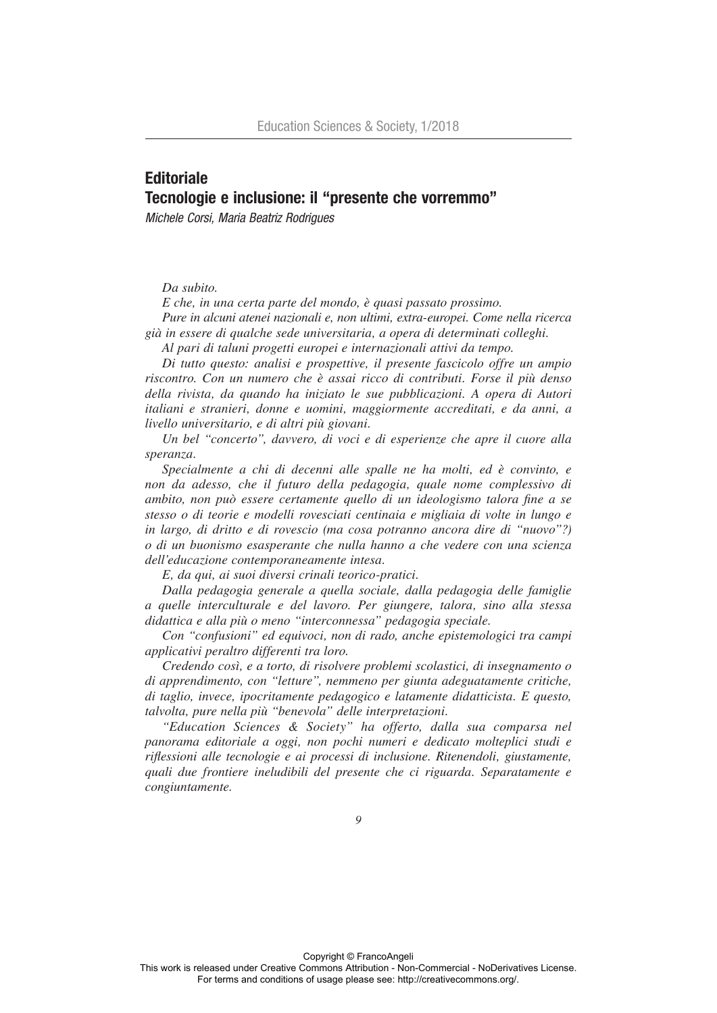## **Editoriale** Tecnologie e inclusione: il "presente che vorremmo"

*Michele Corsi, Maria Beatriz Rodrigues*

## *Da subito.*

*E che, in una certa parte del mondo, è quasi passato prossimo.* 

*Pure in alcuni atenei nazionali e, non ultimi, extra-europei. Come nella ricerca già in essere di qualche sede universitaria, a opera di determinati colleghi.*

*Al pari di taluni progetti europei e internazionali attivi da tempo.* 

*Di tutto questo: analisi e prospettive, il presente fascicolo offre un ampio riscontro. Con un numero che è assai ricco di contributi. Forse il più denso della rivista, da quando ha iniziato le sue pubblicazioni. A opera di Autori italiani e stranieri, donne e uomini, maggiormente accreditati, e da anni, a livello universitario, e di altri più giovani.* 

*Un bel "concerto", davvero, di voci e di esperienze che apre il cuore alla speranza.* 

*Specialmente a chi di decenni alle spalle ne ha molti, ed è convinto, e non da adesso, che il futuro della pedagogia, quale nome complessivo di ambito, non può essere certamente quello di un ideologismo talora fine a se stesso o di teorie e modelli rovesciati centinaia e migliaia di volte in lungo e in largo, di dritto e di rovescio (ma cosa potranno ancora dire di "nuovo"?) o di un buonismo esasperante che nulla hanno a che vedere con una scienza dell'educazione contemporaneamente intesa.*

*E, da qui, ai suoi diversi crinali teorico-pratici.*

*Dalla pedagogia generale a quella sociale, dalla pedagogia delle famiglie a quelle interculturale e del lavoro. Per giungere, talora, sino alla stessa didattica e alla più o meno "interconnessa" pedagogia speciale.* 

*Con "confusioni" ed equivoci, non di rado, anche epistemologici tra campi applicativi peraltro differenti tra loro.*

*Credendo così, e a torto, di risolvere problemi scolastici, di insegnamento o di apprendimento, con "letture", nemmeno per giunta adeguatamente critiche, di taglio, invece, ipocritamente pedagogico e latamente didatticista. E questo, talvolta, pure nella più "benevola" delle interpretazioni.* 

*"Education Sciences & Society" ha offerto, dalla sua comparsa nel panorama editoriale a oggi, non pochi numeri e dedicato molteplici studi e riflessioni alle tecnologie e ai processi di inclusione. Ritenendoli, giustamente, quali due frontiere ineludibili del presente che ci riguarda. Separatamente e congiuntamente.*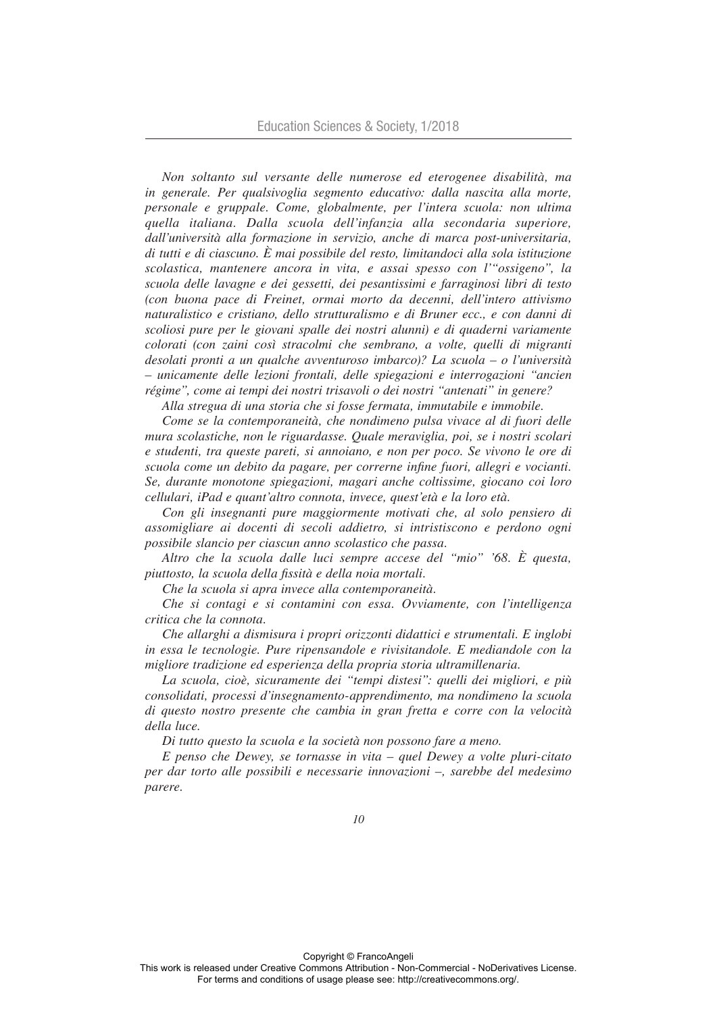*Non soltanto sul versante delle numerose ed eterogenee disabilità, ma in generale. Per qualsivoglia segmento educativo: dalla nascita alla morte, personale e gruppale. Come, globalmente, per l'intera scuola: non ultima quella italiana. Dalla scuola dell'infanzia alla secondaria superiore, dall'università alla formazione in servizio, anche di marca post-universitaria, di tutti e di ciascuno. È mai possibile del resto, limitandoci alla sola istituzione scolastica, mantenere ancora in vita, e assai spesso con l'"ossigeno", la scuola delle lavagne e dei gessetti, dei pesantissimi e farraginosi libri di testo (con buona pace di Freinet, ormai morto da decenni, dell'intero attivismo naturalistico e cristiano, dello strutturalismo e di Bruner ecc., e con danni di scoliosi pure per le giovani spalle dei nostri alunni) e di quaderni variamente colorati (con zaini così stracolmi che sembrano, a volte, quelli di migranti desolati pronti a un qualche avventuroso imbarco)? La scuola – o l'università – unicamente delle lezioni frontali, delle spiegazioni e interrogazioni "ancien régime", come ai tempi dei nostri trisavoli o dei nostri "antenati" in genere?*

*Alla stregua di una storia che si fosse fermata, immutabile e immobile.*

*Come se la contemporaneità, che nondimeno pulsa vivace al di fuori delle mura scolastiche, non le riguardasse. Quale meraviglia, poi, se i nostri scolari e studenti, tra queste pareti, si annoiano, e non per poco. Se vivono le ore di scuola come un debito da pagare, per correrne infine fuori, allegri e vocianti. Se, durante monotone spiegazioni, magari anche coltissime, giocano coi loro cellulari, iPad e quant'altro connota, invece, quest'età e la loro età.*

*Con gli insegnanti pure maggiormente motivati che, al solo pensiero di assomigliare ai docenti di secoli addietro, si intristiscono e perdono ogni possibile slancio per ciascun anno scolastico che passa.*

*Altro che la scuola dalle luci sempre accese del "mio" '68. È questa, piuttosto, la scuola della fissità e della noia mortali.*

*Che la scuola si apra invece alla contemporaneità.*

*Che si contagi e si contamini con essa. Ovviamente, con l'intelligenza critica che la connota.*

*Che allarghi a dismisura i propri orizzonti didattici e strumentali. E inglobi in essa le tecnologie. Pure ripensandole e rivisitandole. E mediandole con la migliore tradizione ed esperienza della propria storia ultramillenaria.*

*La scuola, cioè, sicuramente dei "tempi distesi": quelli dei migliori, e più consolidati, processi d'insegnamento-apprendimento, ma nondimeno la scuola di questo nostro presente che cambia in gran fretta e corre con la velocità della luce.* 

*Di tutto questo la scuola e la società non possono fare a meno.*

*E penso che Dewey, se tornasse in vita – quel Dewey a volte pluri-citato per dar torto alle possibili e necessarie innovazioni –, sarebbe del medesimo parere.*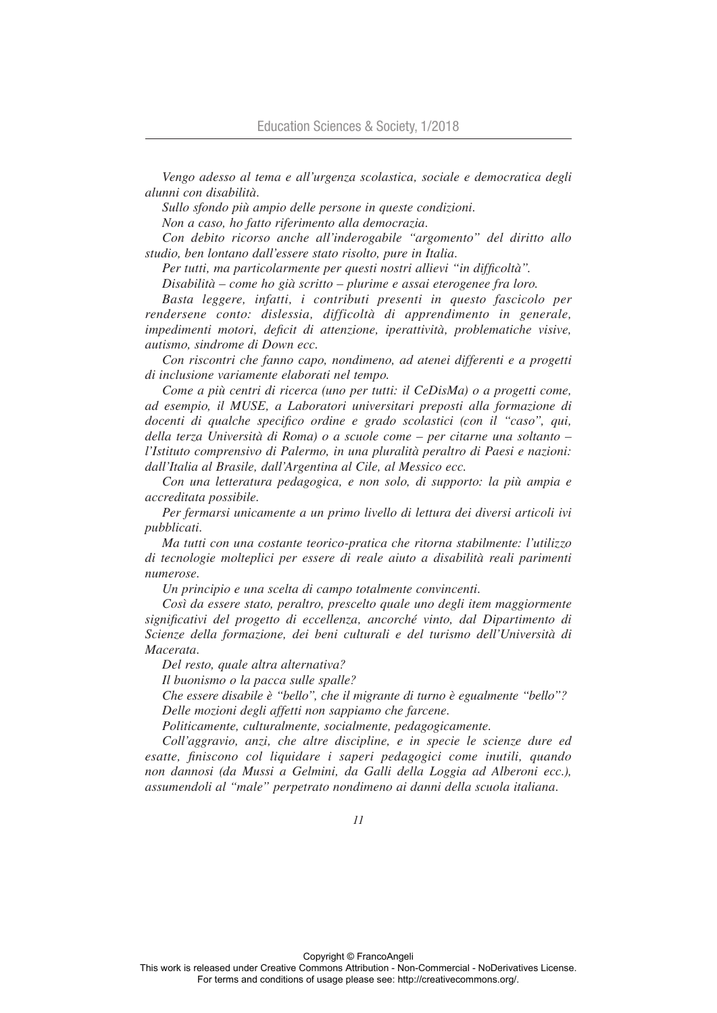*Vengo adesso al tema e all'urgenza scolastica, sociale e democratica degli alunni con disabilità.* 

*Sullo sfondo più ampio delle persone in queste condizioni.*

*Non a caso, ho fatto riferimento alla democrazia.*

*Con debito ricorso anche all'inderogabile "argomento" del diritto allo studio, ben lontano dall'essere stato risolto, pure in Italia.*

*Per tutti, ma particolarmente per questi nostri allievi "in difficoltà".*

*Disabilità – come ho già scritto – plurime e assai eterogenee fra loro.* 

*Basta leggere, infatti, i contributi presenti in questo fascicolo per rendersene conto: dislessia, difficoltà di apprendimento in generale, impedimenti motori, deficit di attenzione, iperattività, problematiche visive, autismo, sindrome di Down ecc.*

*Con riscontri che fanno capo, nondimeno, ad atenei differenti e a progetti di inclusione variamente elaborati nel tempo.*

*Come a più centri di ricerca (uno per tutti: il CeDisMa) o a progetti come, ad esempio, il MUSE, a Laboratori universitari preposti alla formazione di docenti di qualche specifico ordine e grado scolastici (con il "caso", qui, della terza Università di Roma) o a scuole come – per citarne una soltanto – l'Istituto comprensivo di Palermo, in una pluralità peraltro di Paesi e nazioni: dall'Italia al Brasile, dall'Argentina al Cile, al Messico ecc.* 

*Con una letteratura pedagogica, e non solo, di supporto: la più ampia e accreditata possibile.*

*Per fermarsi unicamente a un primo livello di lettura dei diversi articoli ivi pubblicati.*

*Ma tutti con una costante teorico-pratica che ritorna stabilmente: l'utilizzo di tecnologie molteplici per essere di reale aiuto a disabilità reali parimenti numerose.* 

*Un principio e una scelta di campo totalmente convincenti.*

*Così da essere stato, peraltro, prescelto quale uno degli item maggiormente significativi del progetto di eccellenza, ancorché vinto, dal Dipartimento di Scienze della formazione, dei beni culturali e del turismo dell'Università di Macerata.* 

*Del resto, quale altra alternativa?*

*Il buonismo o la pacca sulle spalle?*

*Che essere disabile è "bello", che il migrante di turno è egualmente "bello"? Delle mozioni degli affetti non sappiamo che farcene.*

*Politicamente, culturalmente, socialmente, pedagogicamente.*

*Coll'aggravio, anzi, che altre discipline, e in specie le scienze dure ed esatte, finiscono col liquidare i saperi pedagogici come inutili, quando non dannosi (da Mussi a Gelmini, da Galli della Loggia ad Alberoni ecc.), assumendoli al "male" perpetrato nondimeno ai danni della scuola italiana.*